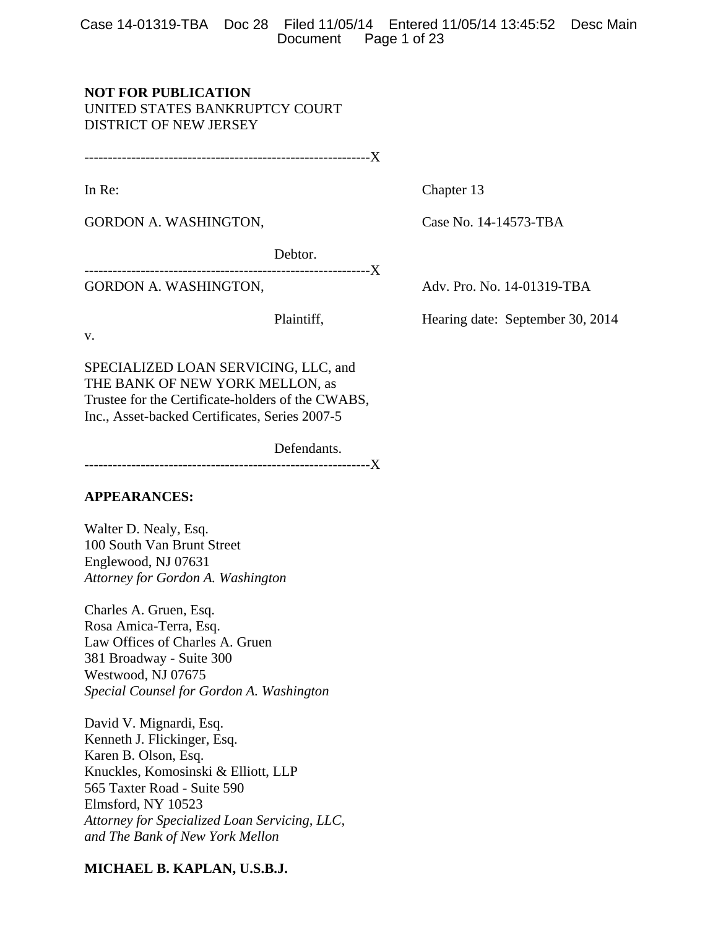Case 14-01319-TBA Doc 28 Filed 11/05/14 Entered 11/05/14 13:45:52 Desc Main Document Page 1 of 23

**NOT FOR PUBLICATION** UNITED STATES BANKRUPTCY COURT DISTRICT OF NEW JERSEY

-------------------------------------------------------------X

In Re: Chapter 13

GORDON A. WASHINGTON, Case No. 14-14573-TBA

Debtor. -------------------------------------------------------------X GORDON A. WASHINGTON,  $\overline{A}$  and  $\overline{A}$  and  $\overline{A}$  and  $\overline{A}$  and  $\overline{A}$  and  $\overline{A}$  and  $\overline{A}$  and  $\overline{A}$  and  $\overline{A}$  and  $\overline{A}$  and  $\overline{A}$  and  $\overline{A}$  and  $\overline{A}$  and  $\overline{A}$  and  $\overline{A}$  and  $\overline{$ 

v.

SPECIALIZED LOAN SERVICING, LLC, and THE BANK OF NEW YORK MELLON, as Trustee for the Certificate-holders of the CWABS, Inc., Asset-backed Certificates, Series 2007-5

Defendants.

-------------------------------------------------------------X

#### **APPEARANCES:**

Walter D. Nealy, Esq. 100 South Van Brunt Street Englewood, NJ 07631 *Attorney for Gordon A. Washington*

Charles A. Gruen, Esq. Rosa Amica-Terra, Esq. Law Offices of Charles A. Gruen 381 Broadway - Suite 300 Westwood, NJ 07675 *Special Counsel for Gordon A. Washington*

David V. Mignardi, Esq. Kenneth J. Flickinger, Esq. Karen B. Olson, Esq. Knuckles, Komosinski & Elliott, LLP 565 Taxter Road - Suite 590 Elmsford, NY 10523 *Attorney for Specialized Loan Servicing, LLC, and The Bank of New York Mellon*

**MICHAEL B. KAPLAN, U.S.B.J.**

Plaintiff, Hearing date: September 30, 2014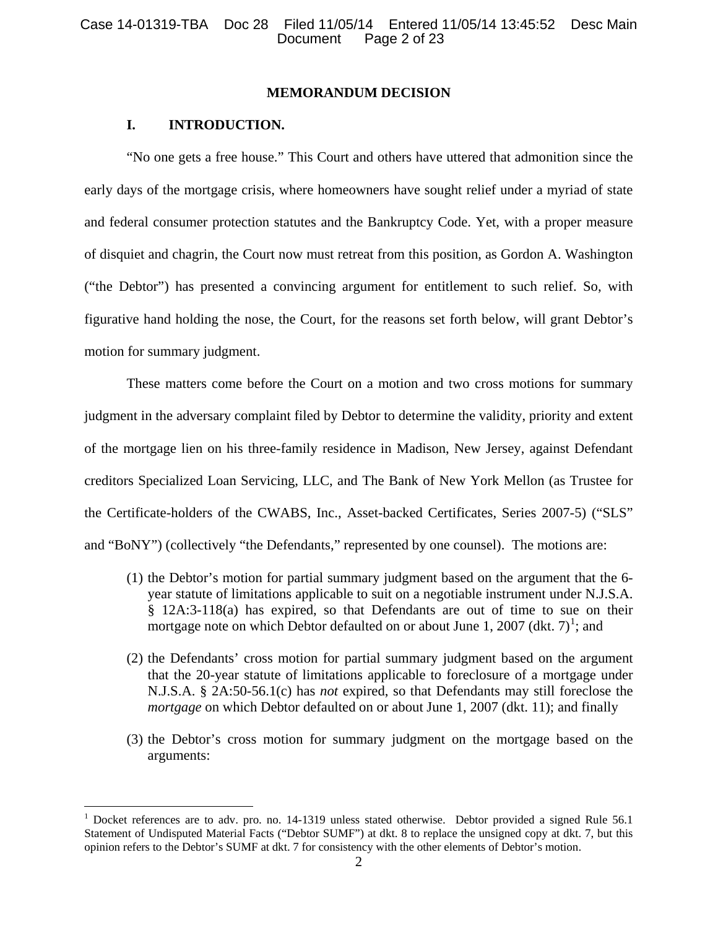#### **MEMORANDUM DECISION**

## **I. INTRODUCTION.**

"No one gets a free house." This Court and others have uttered that admonition since the early days of the mortgage crisis, where homeowners have sought relief under a myriad of state and federal consumer protection statutes and the Bankruptcy Code. Yet, with a proper measure of disquiet and chagrin, the Court now must retreat from this position, as Gordon A. Washington ("the Debtor") has presented a convincing argument for entitlement to such relief. So, with figurative hand holding the nose, the Court, for the reasons set forth below, will grant Debtor's motion for summary judgment.

These matters come before the Court on a motion and two cross motions for summary judgment in the adversary complaint filed by Debtor to determine the validity, priority and extent of the mortgage lien on his three-family residence in Madison, New Jersey, against Defendant creditors Specialized Loan Servicing, LLC, and The Bank of New York Mellon (as Trustee for the Certificate-holders of the CWABS, Inc., Asset-backed Certificates, Series 2007-5) ("SLS" and "BoNY") (collectively "the Defendants," represented by one counsel). The motions are:

- (1) the Debtor's motion for partial summary judgment based on the argument that the 6 year statute of limitations applicable to suit on a negotiable instrument under N.J.S.A. § 12A:3-118(a) has expired, so that Defendants are out of time to sue on their mortgage note on which Debtor defaulted on or about June [1](#page-1-0), 2007 (dkt. 7)<sup>1</sup>; and
- (2) the Defendants' cross motion for partial summary judgment based on the argument that the 20-year statute of limitations applicable to foreclosure of a mortgage under N.J.S.A. § 2A:50-56.1(c) has *not* expired, so that Defendants may still foreclose the *mortgage* on which Debtor defaulted on or about June 1, 2007 (dkt. 11); and finally
- (3) the Debtor's cross motion for summary judgment on the mortgage based on the arguments:

<span id="page-1-0"></span> $1$  Docket references are to adv. pro. no. 14-1319 unless stated otherwise. Debtor provided a signed Rule 56.1 Statement of Undisputed Material Facts ("Debtor SUMF") at dkt. 8 to replace the unsigned copy at dkt. 7, but this opinion refers to the Debtor's SUMF at dkt. 7 for consistency with the other elements of Debtor's motion.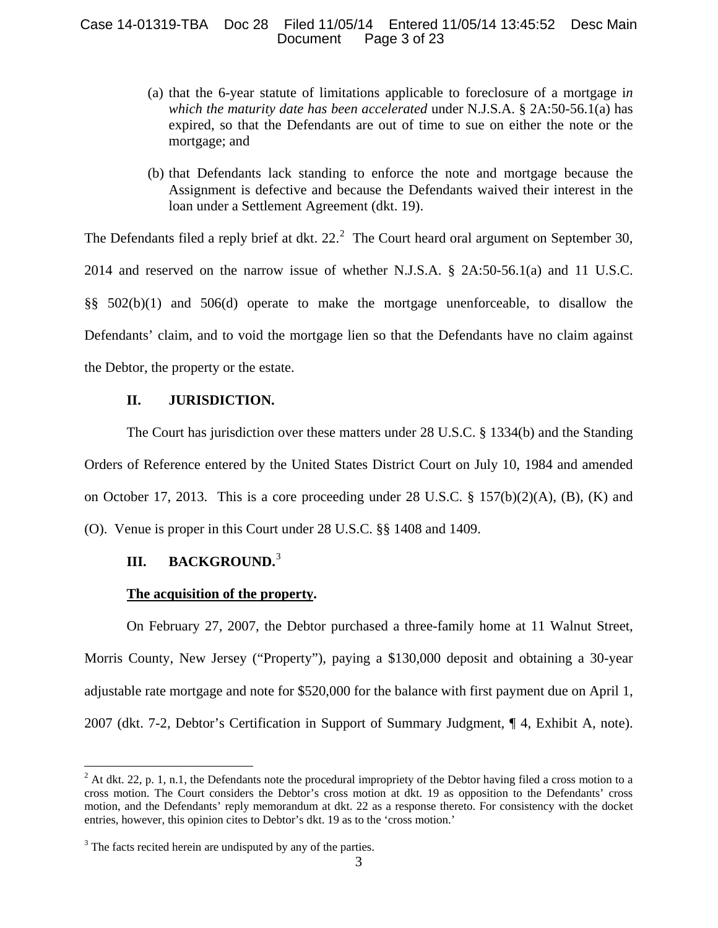## Case 14-01319-TBA Doc 28 Filed 11/05/14 Entered 11/05/14 13:45:52 Desc Main Page 3 of 23

- (a) that the 6-year statute of limitations applicable to foreclosure of a mortgage i*n which the maturity date has been accelerated* under N.J.S.A. § 2A:50-56.1(a) has expired, so that the Defendants are out of time to sue on either the note or the mortgage; and
- (b) that Defendants lack standing to enforce the note and mortgage because the Assignment is defective and because the Defendants waived their interest in the loan under a Settlement Agreement (dkt. 19).

The Defendants filed a reply brief at dkt.  $22.<sup>2</sup>$  $22.<sup>2</sup>$  The Court heard oral argument on September 30, 2014 and reserved on the narrow issue of whether N.J.S.A. § 2A:50-56.1(a) and 11 U.S.C. §§ 502(b)(1) and 506(d) operate to make the mortgage unenforceable, to disallow the Defendants' claim, and to void the mortgage lien so that the Defendants have no claim against the Debtor, the property or the estate.

## **II. JURISDICTION.**

The Court has jurisdiction over these matters under 28 U.S.C. § 1334(b) and the Standing Orders of Reference entered by the United States District Court on July 10, 1984 and amended on October 17, 2013. This is a core proceeding under 28 U.S.C. § 157(b)(2)(A), (B), (K) and (O). Venue is proper in this Court under 28 U.S.C. §§ 1408 and 1409.

# **III. BACKGROUND.**[3](#page-2-1)

## **The acquisition of the property.**

On February 27, 2007, the Debtor purchased a three-family home at 11 Walnut Street, Morris County, New Jersey ("Property"), paying a \$130,000 deposit and obtaining a 30-year adjustable rate mortgage and note for \$520,000 for the balance with first payment due on April 1, 2007 (dkt. 7-2, Debtor's Certification in Support of Summary Judgment, ¶ 4, Exhibit A, note).

<span id="page-2-0"></span> $2$  At dkt. 22, p. 1, n.1, the Defendants note the procedural impropriety of the Debtor having filed a cross motion to a cross motion. The Court considers the Debtor's cross motion at dkt. 19 as opposition to the Defendants' cross motion, and the Defendants' reply memorandum at dkt. 22 as a response thereto. For consistency with the docket entries, however, this opinion cites to Debtor's dkt. 19 as to the 'cross motion.'

<span id="page-2-1"></span><sup>&</sup>lt;sup>3</sup> The facts recited herein are undisputed by any of the parties.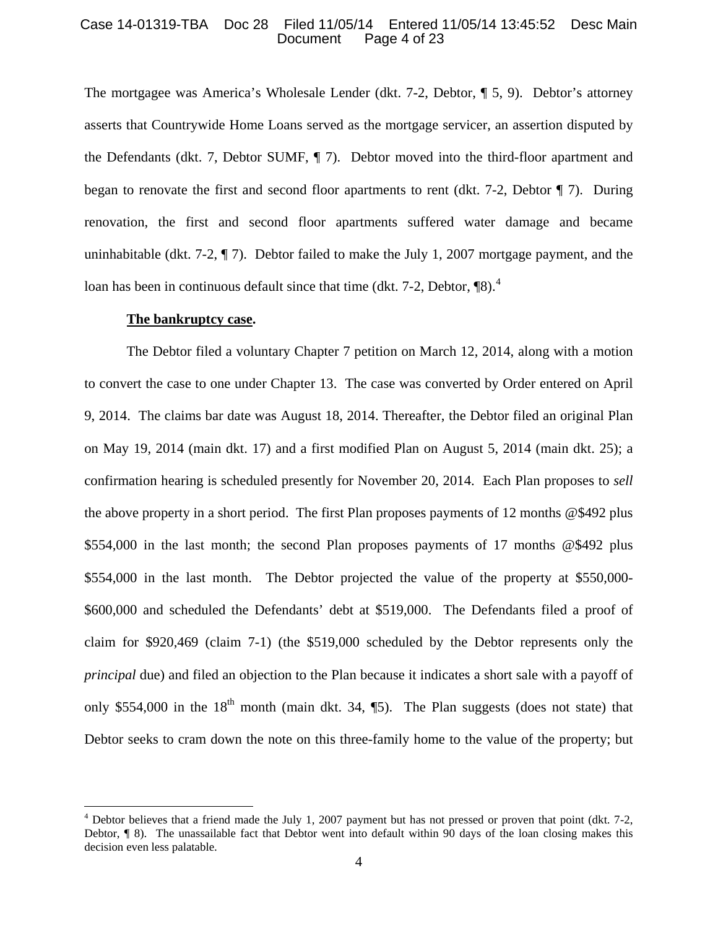#### Case 14-01319-TBA Doc 28 Filed 11/05/14 Entered 11/05/14 13:45:52 Desc Main Page 4 of 23

The mortgagee was America's Wholesale Lender (dkt. 7-2, Debtor, ¶ 5, 9). Debtor's attorney asserts that Countrywide Home Loans served as the mortgage servicer, an assertion disputed by the Defendants (dkt. 7, Debtor SUMF, ¶ 7). Debtor moved into the third-floor apartment and began to renovate the first and second floor apartments to rent (dkt. 7-2, Debtor ¶ 7). During renovation, the first and second floor apartments suffered water damage and became uninhabitable (dkt. 7-2, ¶ 7). Debtor failed to make the July 1, 2007 mortgage payment, and the loan has been in continuous default since that time (dkt. 7-2, Debtor, 18).<sup>[4](#page-3-0)</sup>

#### **The bankruptcy case.**

The Debtor filed a voluntary Chapter 7 petition on March 12, 2014, along with a motion to convert the case to one under Chapter 13. The case was converted by Order entered on April 9, 2014. The claims bar date was August 18, 2014. Thereafter, the Debtor filed an original Plan on May 19, 2014 (main dkt. 17) and a first modified Plan on August 5, 2014 (main dkt. 25); a confirmation hearing is scheduled presently for November 20, 2014. Each Plan proposes to *sell* the above property in a short period. The first Plan proposes payments of 12 months @\$492 plus \$554,000 in the last month; the second Plan proposes payments of 17 months @\$492 plus \$554,000 in the last month. The Debtor projected the value of the property at \$550,000- \$600,000 and scheduled the Defendants' debt at \$519,000. The Defendants filed a proof of claim for \$920,469 (claim 7-1) (the \$519,000 scheduled by the Debtor represents only the *principal* due) and filed an objection to the Plan because it indicates a short sale with a payoff of only \$554,000 in the  $18<sup>th</sup>$  month (main dkt. 34, \int \int 5). The Plan suggests (does not state) that Debtor seeks to cram down the note on this three-family home to the value of the property; but

<span id="page-3-0"></span> $4$  Debtor believes that a friend made the July 1, 2007 payment but has not pressed or proven that point (dkt. 7-2, Debtor, ¶ 8). The unassailable fact that Debtor went into default within 90 days of the loan closing makes this decision even less palatable.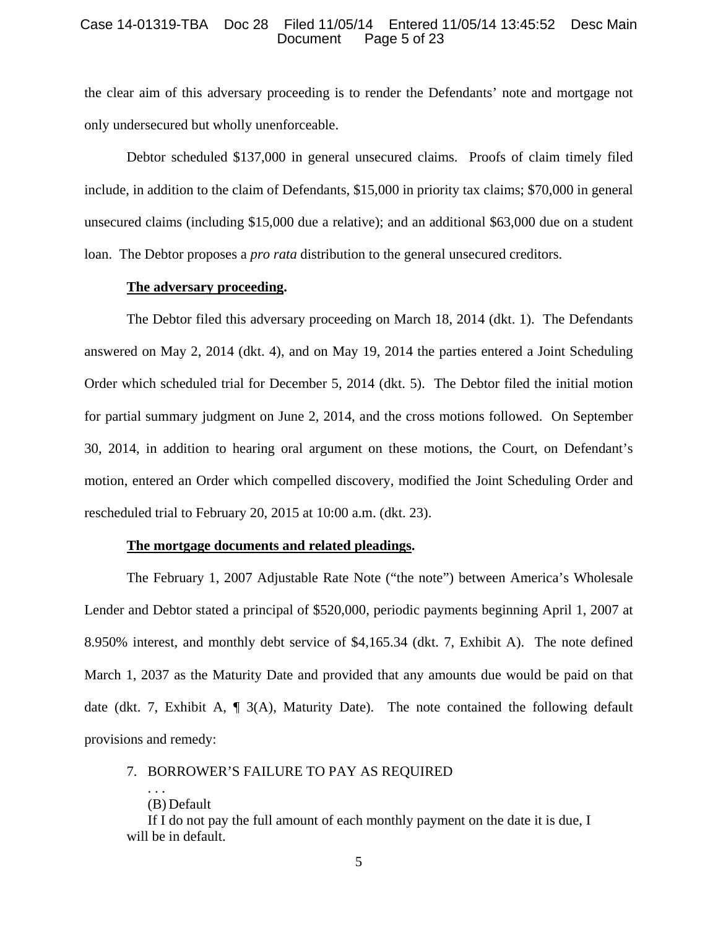#### Case 14-01319-TBA Doc 28 Filed 11/05/14 Entered 11/05/14 13:45:52 Desc Main Page 5 of 23

the clear aim of this adversary proceeding is to render the Defendants' note and mortgage not only undersecured but wholly unenforceable.

Debtor scheduled \$137,000 in general unsecured claims. Proofs of claim timely filed include, in addition to the claim of Defendants, \$15,000 in priority tax claims; \$70,000 in general unsecured claims (including \$15,000 due a relative); and an additional \$63,000 due on a student loan. The Debtor proposes a *pro rata* distribution to the general unsecured creditors.

#### **The adversary proceeding.**

The Debtor filed this adversary proceeding on March 18, 2014 (dkt. 1). The Defendants answered on May 2, 2014 (dkt. 4), and on May 19, 2014 the parties entered a Joint Scheduling Order which scheduled trial for December 5, 2014 (dkt. 5). The Debtor filed the initial motion for partial summary judgment on June 2, 2014, and the cross motions followed. On September 30, 2014, in addition to hearing oral argument on these motions, the Court, on Defendant's motion, entered an Order which compelled discovery, modified the Joint Scheduling Order and rescheduled trial to February 20, 2015 at 10:00 a.m. (dkt. 23).

#### **The mortgage documents and related pleadings.**

The February 1, 2007 Adjustable Rate Note ("the note") between America's Wholesale Lender and Debtor stated a principal of \$520,000, periodic payments beginning April 1, 2007 at 8.950% interest, and monthly debt service of \$4,165.34 (dkt. 7, Exhibit A). The note defined March 1, 2037 as the Maturity Date and provided that any amounts due would be paid on that date (dkt. 7, Exhibit A, ¶ 3(A), Maturity Date). The note contained the following default provisions and remedy:

#### 7. BORROWER'S FAILURE TO PAY AS REQUIRED

#### (B) Default

. . .

If I do not pay the full amount of each monthly payment on the date it is due, I will be in default.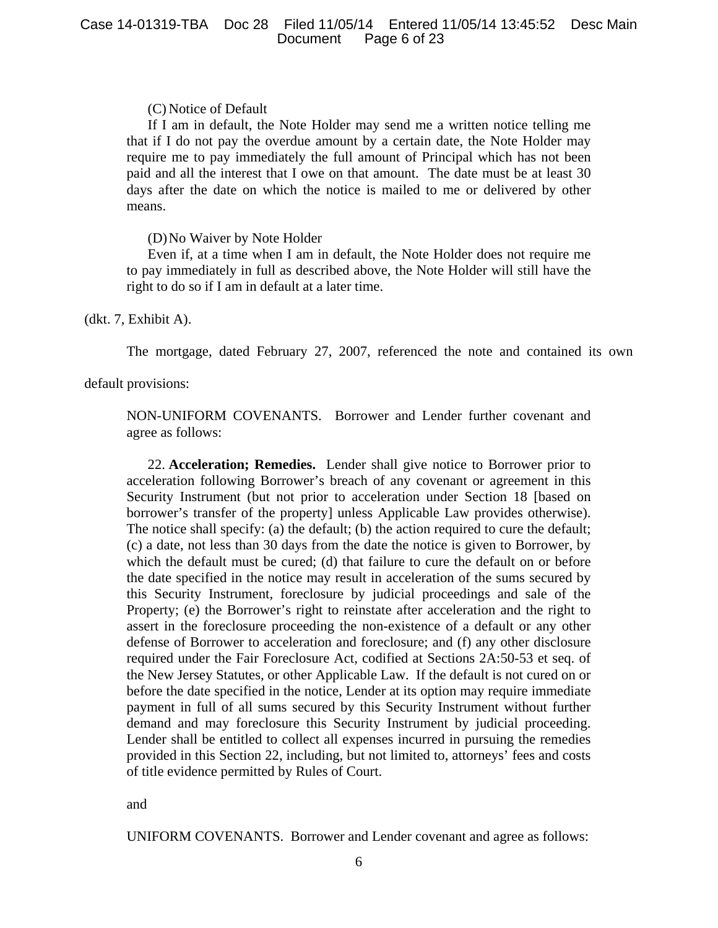#### (C) Notice of Default

If I am in default, the Note Holder may send me a written notice telling me that if I do not pay the overdue amount by a certain date, the Note Holder may require me to pay immediately the full amount of Principal which has not been paid and all the interest that I owe on that amount. The date must be at least 30 days after the date on which the notice is mailed to me or delivered by other means.

#### (D)No Waiver by Note Holder

Even if, at a time when I am in default, the Note Holder does not require me to pay immediately in full as described above, the Note Holder will still have the right to do so if I am in default at a later time.

#### (dkt. 7, Exhibit A).

The mortgage, dated February 27, 2007, referenced the note and contained its own

default provisions:

NON-UNIFORM COVENANTS. Borrower and Lender further covenant and agree as follows:

22. **Acceleration; Remedies.** Lender shall give notice to Borrower prior to acceleration following Borrower's breach of any covenant or agreement in this Security Instrument (but not prior to acceleration under Section 18 [based on borrower's transfer of the property] unless Applicable Law provides otherwise). The notice shall specify: (a) the default; (b) the action required to cure the default; (c) a date, not less than 30 days from the date the notice is given to Borrower, by which the default must be cured; (d) that failure to cure the default on or before the date specified in the notice may result in acceleration of the sums secured by this Security Instrument, foreclosure by judicial proceedings and sale of the Property; (e) the Borrower's right to reinstate after acceleration and the right to assert in the foreclosure proceeding the non-existence of a default or any other defense of Borrower to acceleration and foreclosure; and (f) any other disclosure required under the Fair Foreclosure Act, codified at Sections 2A:50-53 et seq. of the New Jersey Statutes, or other Applicable Law. If the default is not cured on or before the date specified in the notice, Lender at its option may require immediate payment in full of all sums secured by this Security Instrument without further demand and may foreclosure this Security Instrument by judicial proceeding. Lender shall be entitled to collect all expenses incurred in pursuing the remedies provided in this Section 22, including, but not limited to, attorneys' fees and costs of title evidence permitted by Rules of Court.

and

UNIFORM COVENANTS. Borrower and Lender covenant and agree as follows: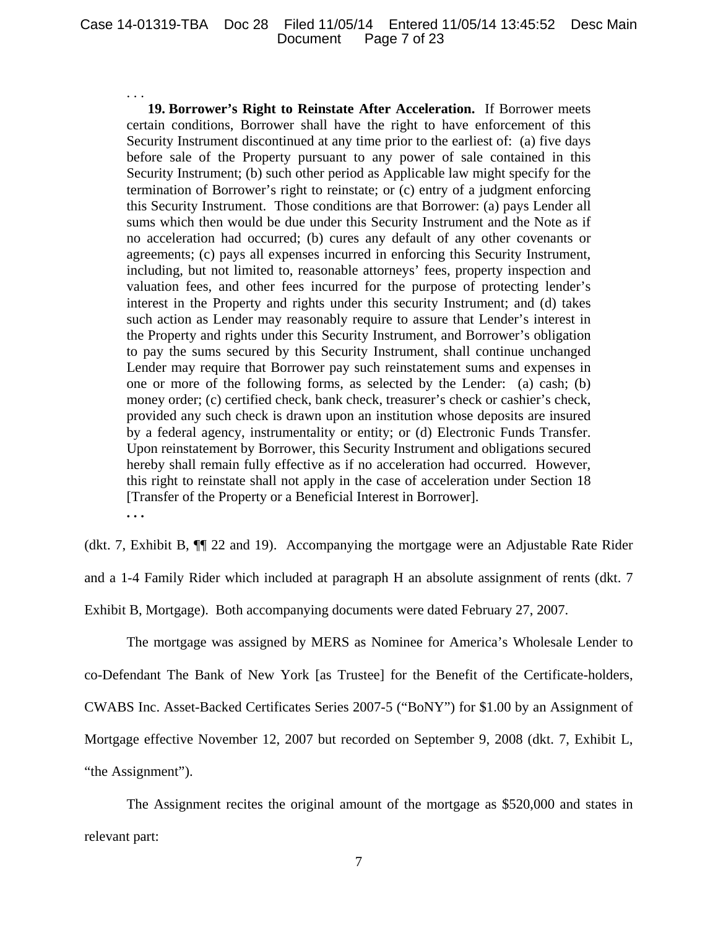#### Case 14-01319-TBA Doc 28 Filed 11/05/14 Entered 11/05/14 13:45:52 Desc Main Page 7 of 23

. . .

**19. Borrower's Right to Reinstate After Acceleration.** If Borrower meets certain conditions, Borrower shall have the right to have enforcement of this Security Instrument discontinued at any time prior to the earliest of: (a) five days before sale of the Property pursuant to any power of sale contained in this Security Instrument; (b) such other period as Applicable law might specify for the termination of Borrower's right to reinstate; or (c) entry of a judgment enforcing this Security Instrument. Those conditions are that Borrower: (a) pays Lender all sums which then would be due under this Security Instrument and the Note as if no acceleration had occurred; (b) cures any default of any other covenants or agreements; (c) pays all expenses incurred in enforcing this Security Instrument, including, but not limited to, reasonable attorneys' fees, property inspection and valuation fees, and other fees incurred for the purpose of protecting lender's interest in the Property and rights under this security Instrument; and (d) takes such action as Lender may reasonably require to assure that Lender's interest in the Property and rights under this Security Instrument, and Borrower's obligation to pay the sums secured by this Security Instrument, shall continue unchanged Lender may require that Borrower pay such reinstatement sums and expenses in one or more of the following forms, as selected by the Lender: (a) cash; (b) money order; (c) certified check, bank check, treasurer's check or cashier's check, provided any such check is drawn upon an institution whose deposits are insured by a federal agency, instrumentality or entity; or (d) Electronic Funds Transfer. Upon reinstatement by Borrower, this Security Instrument and obligations secured hereby shall remain fully effective as if no acceleration had occurred. However, this right to reinstate shall not apply in the case of acceleration under Section 18 [Transfer of the Property or a Beneficial Interest in Borrower]. **. . .**

(dkt. 7, Exhibit B, ¶¶ 22 and 19). Accompanying the mortgage were an Adjustable Rate Rider and a 1-4 Family Rider which included at paragraph H an absolute assignment of rents (dkt. 7 Exhibit B, Mortgage). Both accompanying documents were dated February 27, 2007.

The mortgage was assigned by MERS as Nominee for America's Wholesale Lender to co-Defendant The Bank of New York [as Trustee] for the Benefit of the Certificate-holders, CWABS Inc. Asset-Backed Certificates Series 2007-5 ("BoNY") for \$1.00 by an Assignment of Mortgage effective November 12, 2007 but recorded on September 9, 2008 (dkt. 7, Exhibit L, "the Assignment").

The Assignment recites the original amount of the mortgage as \$520,000 and states in relevant part: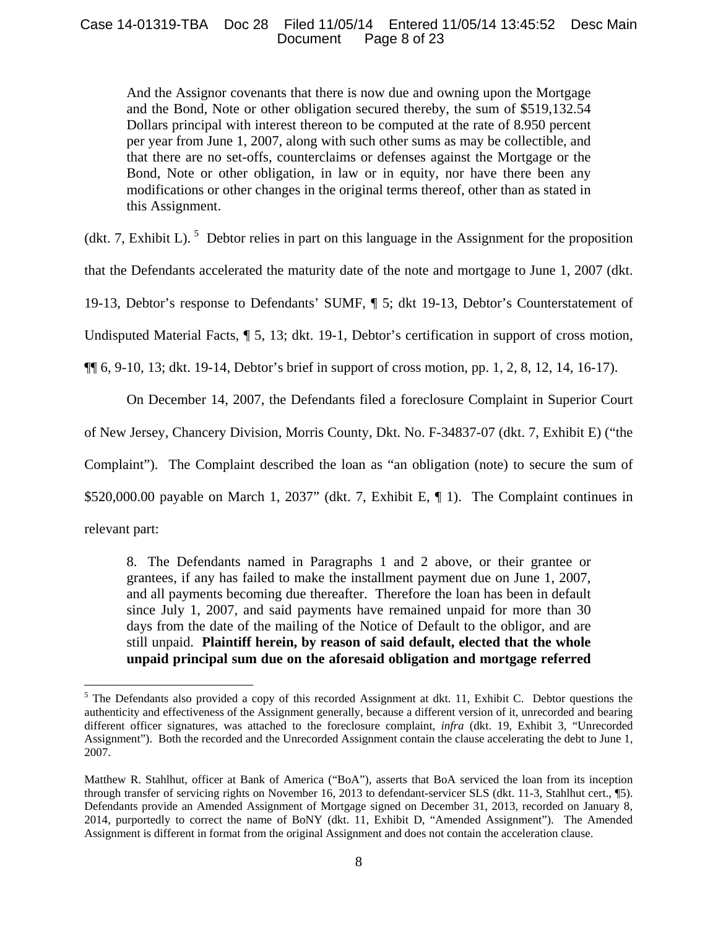## Case 14-01319-TBA Doc 28 Filed 11/05/14 Entered 11/05/14 13:45:52 Desc Main Page 8 of 23

And the Assignor covenants that there is now due and owning upon the Mortgage and the Bond, Note or other obligation secured thereby, the sum of \$519,132.54 Dollars principal with interest thereon to be computed at the rate of 8.950 percent per year from June 1, 2007, along with such other sums as may be collectible, and that there are no set-offs, counterclaims or defenses against the Mortgage or the Bond, Note or other obligation, in law or in equity, nor have there been any modifications or other changes in the original terms thereof, other than as stated in this Assignment.

(dkt. 7, Exhibit L).<sup>[5](#page-7-0)</sup> Debtor relies in part on this language in the Assignment for the proposition

that the Defendants accelerated the maturity date of the note and mortgage to June 1, 2007 (dkt.

19-13, Debtor's response to Defendants' SUMF, ¶ 5; dkt 19-13, Debtor's Counterstatement of

Undisputed Material Facts,  $\P$  5, 13; dkt. 19-1, Debtor's certification in support of cross motion,

¶¶ 6, 9-10, 13; dkt. 19-14, Debtor's brief in support of cross motion, pp. 1, 2, 8, 12, 14, 16-17).

On December 14, 2007, the Defendants filed a foreclosure Complaint in Superior Court

of New Jersey, Chancery Division, Morris County, Dkt. No. F-34837-07 (dkt. 7, Exhibit E) ("the

Complaint"). The Complaint described the loan as "an obligation (note) to secure the sum of

\$520,000.00 payable on March 1, 2037" (dkt. 7, Exhibit E, ¶ 1). The Complaint continues in

relevant part:

8. The Defendants named in Paragraphs 1 and 2 above, or their grantee or grantees, if any has failed to make the installment payment due on June 1, 2007, and all payments becoming due thereafter. Therefore the loan has been in default since July 1, 2007, and said payments have remained unpaid for more than 30 days from the date of the mailing of the Notice of Default to the obligor, and are still unpaid. **Plaintiff herein, by reason of said default, elected that the whole unpaid principal sum due on the aforesaid obligation and mortgage referred** 

<span id="page-7-0"></span><sup>&</sup>lt;sup>5</sup> The Defendants also provided a copy of this recorded Assignment at dkt. 11, Exhibit C. Debtor questions the authenticity and effectiveness of the Assignment generally, because a different version of it, unrecorded and bearing different officer signatures, was attached to the foreclosure complaint, *infra* (dkt. 19, Exhibit 3, "Unrecorded Assignment"). Both the recorded and the Unrecorded Assignment contain the clause accelerating the debt to June 1, 2007.

Matthew R. Stahlhut, officer at Bank of America ("BoA"), asserts that BoA serviced the loan from its inception through transfer of servicing rights on November 16, 2013 to defendant-servicer SLS (dkt. 11-3, Stahlhut cert., ¶5). Defendants provide an Amended Assignment of Mortgage signed on December 31, 2013, recorded on January 8, 2014, purportedly to correct the name of BoNY (dkt. 11, Exhibit D, "Amended Assignment"). The Amended Assignment is different in format from the original Assignment and does not contain the acceleration clause.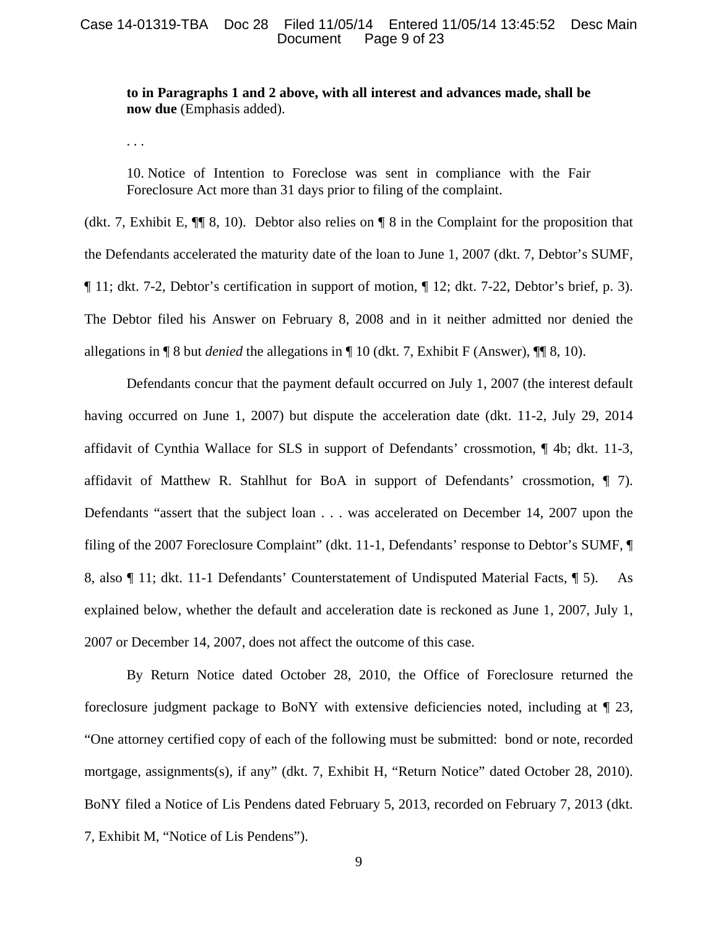#### Case 14-01319-TBA Doc 28 Filed 11/05/14 Entered 11/05/14 13:45:52 Desc Main Page 9 of 23

## **to in Paragraphs 1 and 2 above, with all interest and advances made, shall be now due** (Emphasis added).

. . .

10. Notice of Intention to Foreclose was sent in compliance with the Fair Foreclosure Act more than 31 days prior to filing of the complaint.

(dkt. 7, Exhibit E, ¶¶ 8, 10). Debtor also relies on ¶ 8 in the Complaint for the proposition that the Defendants accelerated the maturity date of the loan to June 1, 2007 (dkt. 7, Debtor's SUMF, ¶ 11; dkt. 7-2, Debtor's certification in support of motion, ¶ 12; dkt. 7-22, Debtor's brief, p. 3). The Debtor filed his Answer on February 8, 2008 and in it neither admitted nor denied the allegations in ¶ 8 but *denied* the allegations in ¶ 10 (dkt. 7, Exhibit F (Answer), ¶¶ 8, 10).

Defendants concur that the payment default occurred on July 1, 2007 (the interest default having occurred on June 1, 2007) but dispute the acceleration date (dkt. 11-2, July 29, 2014 affidavit of Cynthia Wallace for SLS in support of Defendants' crossmotion, ¶ 4b; dkt. 11-3, affidavit of Matthew R. Stahlhut for BoA in support of Defendants' crossmotion, ¶ 7). Defendants "assert that the subject loan . . . was accelerated on December 14, 2007 upon the filing of the 2007 Foreclosure Complaint" (dkt. 11-1, Defendants' response to Debtor's SUMF, ¶ 8, also ¶ 11; dkt. 11-1 Defendants' Counterstatement of Undisputed Material Facts, ¶ 5). As explained below, whether the default and acceleration date is reckoned as June 1, 2007, July 1, 2007 or December 14, 2007, does not affect the outcome of this case.

By Return Notice dated October 28, 2010, the Office of Foreclosure returned the foreclosure judgment package to BoNY with extensive deficiencies noted, including at ¶ 23, "One attorney certified copy of each of the following must be submitted: bond or note, recorded mortgage, assignments(s), if any" (dkt. 7, Exhibit H, "Return Notice" dated October 28, 2010). BoNY filed a Notice of Lis Pendens dated February 5, 2013, recorded on February 7, 2013 (dkt. 7, Exhibit M, "Notice of Lis Pendens").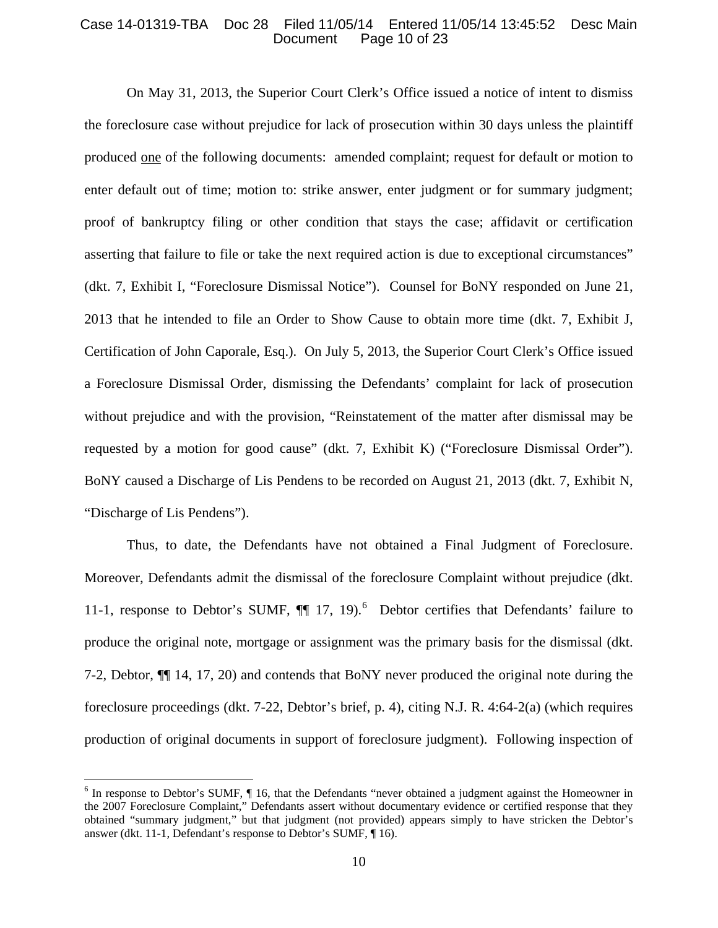#### Case 14-01319-TBA Doc 28 Filed 11/05/14 Entered 11/05/14 13:45:52 Desc Main Page 10 of 23

On May 31, 2013, the Superior Court Clerk's Office issued a notice of intent to dismiss the foreclosure case without prejudice for lack of prosecution within 30 days unless the plaintiff produced one of the following documents: amended complaint; request for default or motion to enter default out of time; motion to: strike answer, enter judgment or for summary judgment; proof of bankruptcy filing or other condition that stays the case; affidavit or certification asserting that failure to file or take the next required action is due to exceptional circumstances" (dkt. 7, Exhibit I, "Foreclosure Dismissal Notice"). Counsel for BoNY responded on June 21, 2013 that he intended to file an Order to Show Cause to obtain more time (dkt. 7, Exhibit J, Certification of John Caporale, Esq.). On July 5, 2013, the Superior Court Clerk's Office issued a Foreclosure Dismissal Order, dismissing the Defendants' complaint for lack of prosecution without prejudice and with the provision, "Reinstatement of the matter after dismissal may be requested by a motion for good cause" (dkt. 7, Exhibit K) ("Foreclosure Dismissal Order"). BoNY caused a Discharge of Lis Pendens to be recorded on August 21, 2013 (dkt. 7, Exhibit N, "Discharge of Lis Pendens").

Thus, to date, the Defendants have not obtained a Final Judgment of Foreclosure. Moreover, Defendants admit the dismissal of the foreclosure Complaint without prejudice (dkt. 11-1, response to Debtor's SUMF,  $\P\P$  17, 19).<sup>[6](#page-9-0)</sup> Debtor certifies that Defendants' failure to produce the original note, mortgage or assignment was the primary basis for the dismissal (dkt. 7-2, Debtor, ¶¶ 14, 17, 20) and contends that BoNY never produced the original note during the foreclosure proceedings (dkt. 7-22, Debtor's brief, p. 4), citing N.J. R. 4:64-2(a) (which requires production of original documents in support of foreclosure judgment). Following inspection of

<span id="page-9-0"></span><sup>&</sup>lt;sup>6</sup> In response to Debtor's SUMF, ¶ 16, that the Defendants "never obtained a judgment against the Homeowner in the 2007 Foreclosure Complaint," Defendants assert without documentary evidence or certified response that they obtained "summary judgment," but that judgment (not provided) appears simply to have stricken the Debtor's answer (dkt. 11-1, Defendant's response to Debtor's SUMF, ¶ 16).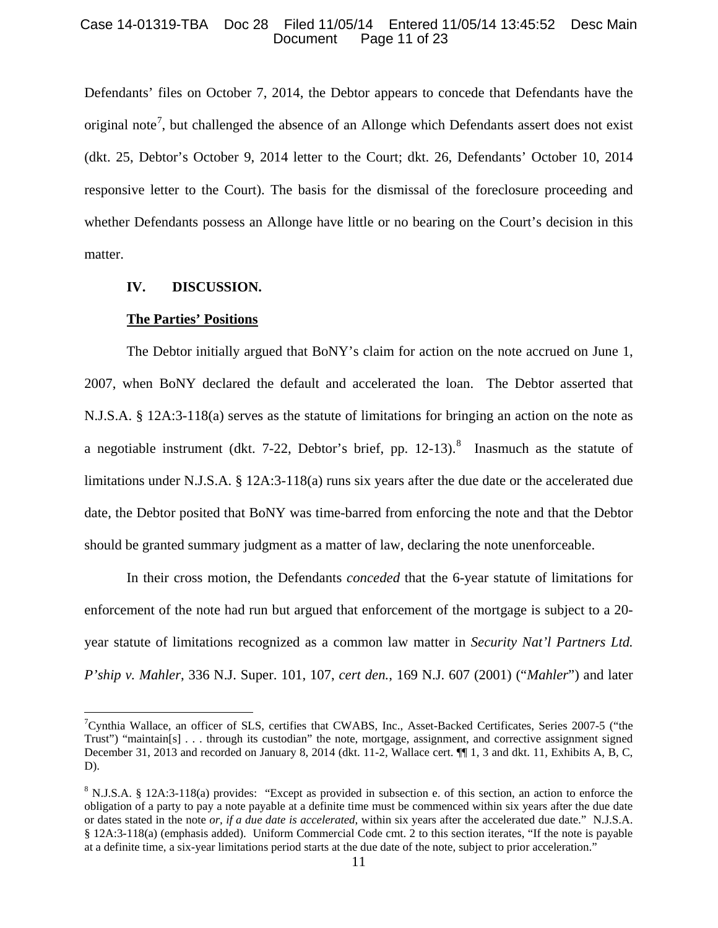#### Case 14-01319-TBA Doc 28 Filed 11/05/14 Entered 11/05/14 13:45:52 Desc Main Page 11 of 23

Defendants' files on October 7, 2014, the Debtor appears to concede that Defendants have the original note<sup>[7](#page-10-0)</sup>, but challenged the absence of an Allonge which Defendants assert does not exist (dkt. 25, Debtor's October 9, 2014 letter to the Court; dkt. 26, Defendants' October 10, 2014 responsive letter to the Court). The basis for the dismissal of the foreclosure proceeding and whether Defendants possess an Allonge have little or no bearing on the Court's decision in this matter.

#### **IV. DISCUSSION.**

#### **The Parties' Positions**

The Debtor initially argued that BoNY's claim for action on the note accrued on June 1, 2007, when BoNY declared the default and accelerated the loan. The Debtor asserted that N.J.S.A. § 12A:3-118(a) serves as the statute of limitations for bringing an action on the note as a negotiable instrument (dkt. 7-22, Debtor's brief, pp. 12-13).<sup>[8](#page-10-1)</sup> Inasmuch as the statute of limitations under N.J.S.A. § 12A:3-118(a) runs six years after the due date or the accelerated due date, the Debtor posited that BoNY was time-barred from enforcing the note and that the Debtor should be granted summary judgment as a matter of law, declaring the note unenforceable.

In their cross motion, the Defendants *conceded* that the 6-year statute of limitations for enforcement of the note had run but argued that enforcement of the mortgage is subject to a 20 year statute of limitations recognized as a common law matter in *Security Nat'l Partners Ltd. P'ship v. Mahler*, 336 N.J. Super. 101, 107, *cert den.*, 169 N.J. 607 (2001) ("*Mahler*") and later

<span id="page-10-0"></span><sup>-&</sup>lt;br>7 <sup>7</sup>Cynthia Wallace, an officer of SLS, certifies that CWABS, Inc., Asset-Backed Certificates, Series 2007-5 ("the Trust") "maintain[s] . . . through its custodian" the note, mortgage, assignment, and corrective assignment signed December 31, 2013 and recorded on January 8, 2014 (dkt. 11-2, Wallace cert.  $\P$ ] 1, 3 and dkt. 11, Exhibits A, B, C, D).

<span id="page-10-1"></span><sup>8</sup> N.J.S.A. § 12A:3-118(a) provides: "Except as provided in subsection e. of this section, an action to enforce the obligation of a party to pay a note payable at a definite time must be commenced within six years after the due date or dates stated in the note *or, if a due date is accelerated*, within six years after the accelerated due date." N.J.S.A. § 12A:3-118(a) (emphasis added). Uniform Commercial Code cmt. 2 to this section iterates, "If the note is payable at a definite time, a six-year limitations period starts at the due date of the note, subject to prior acceleration."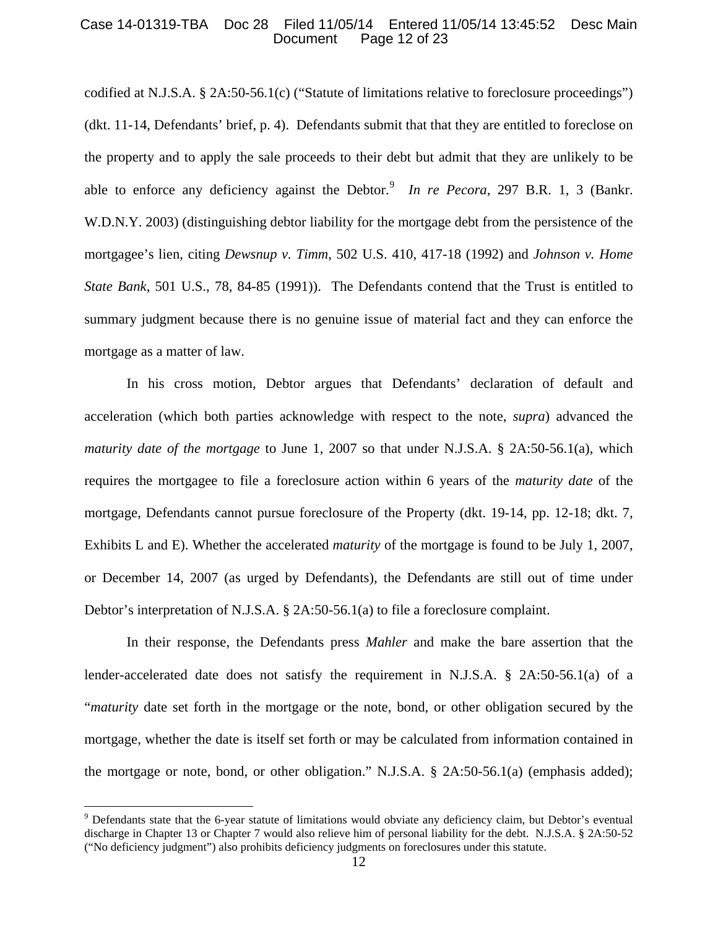#### Case 14-01319-TBA Doc 28 Filed 11/05/14 Entered 11/05/14 13:45:52 Desc Main Page 12 of 23

codified at N.J.S.A. § 2A:50-56.1(c) ("Statute of limitations relative to foreclosure proceedings") (dkt. 11-14, Defendants' brief, p. 4). Defendants submit that that they are entitled to foreclose on the property and to apply the sale proceeds to their debt but admit that they are unlikely to be able to enforce any deficiency against the Debtor.<sup>[9](#page-11-0)</sup> In re Pecora, 297 B.R. 1, 3 (Bankr. W.D.N.Y. 2003) (distinguishing debtor liability for the mortgage debt from the persistence of the mortgagee's lien, citing *Dewsnup v. Timm*, 502 U.S. 410, 417-18 (1992) and *Johnson v. Home State Bank*, 501 U.S., 78, 84-85 (1991)). The Defendants contend that the Trust is entitled to summary judgment because there is no genuine issue of material fact and they can enforce the mortgage as a matter of law.

In his cross motion, Debtor argues that Defendants' declaration of default and acceleration (which both parties acknowledge with respect to the note, *supra*) advanced the *maturity date of the mortgage* to June 1, 2007 so that under N.J.S.A. § 2A:50-56.1(a), which requires the mortgagee to file a foreclosure action within 6 years of the *maturity date* of the mortgage, Defendants cannot pursue foreclosure of the Property (dkt. 19-14, pp. 12-18; dkt. 7, Exhibits L and E). Whether the accelerated *maturity* of the mortgage is found to be July 1, 2007, or December 14, 2007 (as urged by Defendants), the Defendants are still out of time under Debtor's interpretation of N.J.S.A. § 2A:50-56.1(a) to file a foreclosure complaint.

In their response, the Defendants press *Mahler* and make the bare assertion that the lender-accelerated date does not satisfy the requirement in N.J.S.A. § 2A:50-56.1(a) of a "*maturity* date set forth in the mortgage or the note, bond, or other obligation secured by the mortgage, whether the date is itself set forth or may be calculated from information contained in the mortgage or note, bond, or other obligation." N.J.S.A. § 2A:50-56.1(a) (emphasis added);

<span id="page-11-0"></span> <sup>9</sup> Defendants state that the 6-year statute of limitations would obviate any deficiency claim, but Debtor's eventual discharge in Chapter 13 or Chapter 7 would also relieve him of personal liability for the debt. N.J.S.A. § 2A:50-52 ("No deficiency judgment") also prohibits deficiency judgments on foreclosures under this statute.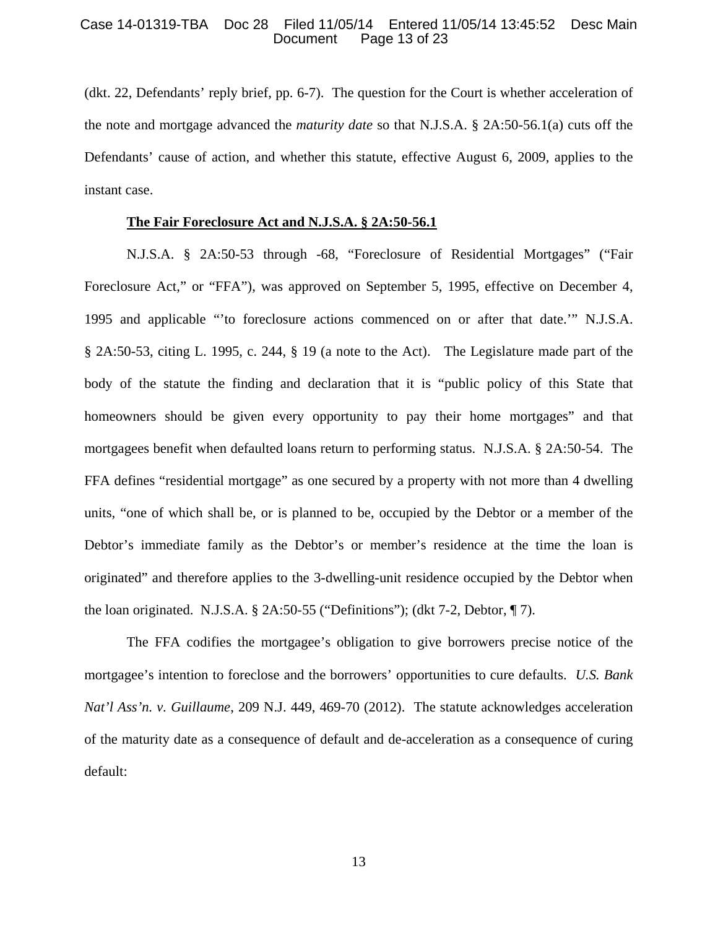#### Case 14-01319-TBA Doc 28 Filed 11/05/14 Entered 11/05/14 13:45:52 Desc Main Page 13 of 23

(dkt. 22, Defendants' reply brief, pp. 6-7). The question for the Court is whether acceleration of the note and mortgage advanced the *maturity date* so that N.J.S.A. § 2A:50-56.1(a) cuts off the Defendants' cause of action, and whether this statute, effective August 6, 2009, applies to the instant case.

## **The Fair Foreclosure Act and N.J.S.A. § 2A:50-56.1**

N.J.S.A. § 2A:50-53 through -68, "Foreclosure of Residential Mortgages" ("Fair Foreclosure Act," or "FFA"), was approved on September 5, 1995, effective on December 4, 1995 and applicable "'to foreclosure actions commenced on or after that date.'" N.J.S.A. § 2A:50-53, citing L. 1995, c. 244, § 19 (a note to the Act). The Legislature made part of the body of the statute the finding and declaration that it is "public policy of this State that homeowners should be given every opportunity to pay their home mortgages" and that mortgagees benefit when defaulted loans return to performing status. N.J.S.A. § 2A:50-54. The FFA defines "residential mortgage" as one secured by a property with not more than 4 dwelling units, "one of which shall be, or is planned to be, occupied by the Debtor or a member of the Debtor's immediate family as the Debtor's or member's residence at the time the loan is originated" and therefore applies to the 3-dwelling-unit residence occupied by the Debtor when the loan originated. N.J.S.A.  $\S$  2A:50-55 ("Definitions"); (dkt 7-2, Debtor,  $\P$  7).

The FFA codifies the mortgagee's obligation to give borrowers precise notice of the mortgagee's intention to foreclose and the borrowers' opportunities to cure defaults. *U.S. Bank Nat'l Ass'n. v. Guillaume*, 209 N.J. 449, 469-70 (2012). The statute acknowledges acceleration of the maturity date as a consequence of default and de-acceleration as a consequence of curing default: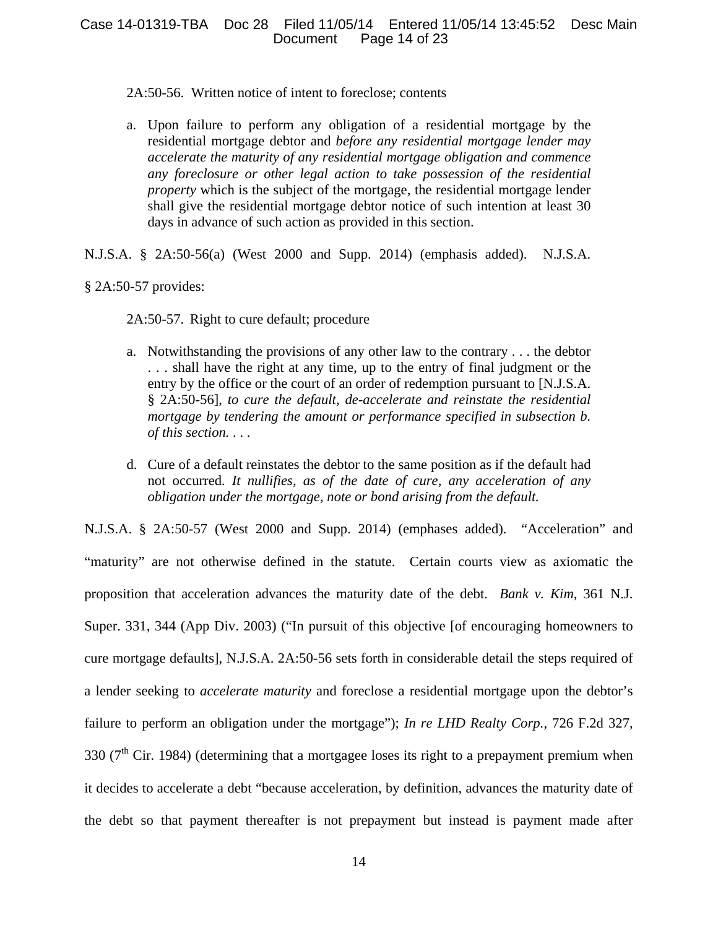2A:50-56. Written notice of intent to foreclose; contents

a. Upon failure to perform any obligation of a residential mortgage by the residential mortgage debtor and *before any residential mortgage lender may accelerate the maturity of any residential mortgage obligation and commence any foreclosure or other legal action to take possession of the residential property* which is the subject of the mortgage, the residential mortgage lender shall give the residential mortgage debtor notice of such intention at least 30 days in advance of such action as provided in this section.

N.J.S.A. § 2A:50-56(a) (West 2000 and Supp. 2014) (emphasis added). N.J.S.A.

§ 2A:50-57 provides:

2A:50-57. Right to cure default; procedure

- a. Notwithstanding the provisions of any other law to the contrary . . . the debtor . . . shall have the right at any time, up to the entry of final judgment or the entry by the office or the court of an order of redemption pursuant to [N.J.S.A. § 2A:50-56], *to cure the default, de-accelerate and reinstate the residential mortgage by tendering the amount or performance specified in subsection b. of this section.* . . .
- d. Cure of a default reinstates the debtor to the same position as if the default had not occurred. *It nullifies, as of the date of cure, any acceleration of any obligation under the mortgage, note or bond arising from the default.*

N.J.S.A. § 2A:50-57 (West 2000 and Supp. 2014) (emphases added). "Acceleration" and "maturity" are not otherwise defined in the statute. Certain courts view as axiomatic the proposition that acceleration advances the maturity date of the debt. *Bank v. Kim*, 361 N.J. Super. 331, 344 (App Div. 2003) ("In pursuit of this objective [of encouraging homeowners to cure mortgage defaults], N.J.S.A. 2A:50-56 sets forth in considerable detail the steps required of a lender seeking to *accelerate maturity* and foreclose a residential mortgage upon the debtor's failure to perform an obligation under the mortgage"); *In re LHD Realty Corp.*, 726 F.2d 327, 330 ( $7<sup>th</sup>$  Cir. 1984) (determining that a mortgagee loses its right to a prepayment premium when it decides to accelerate a debt "because acceleration, by definition, advances the maturity date of the debt so that payment thereafter is not prepayment but instead is payment made after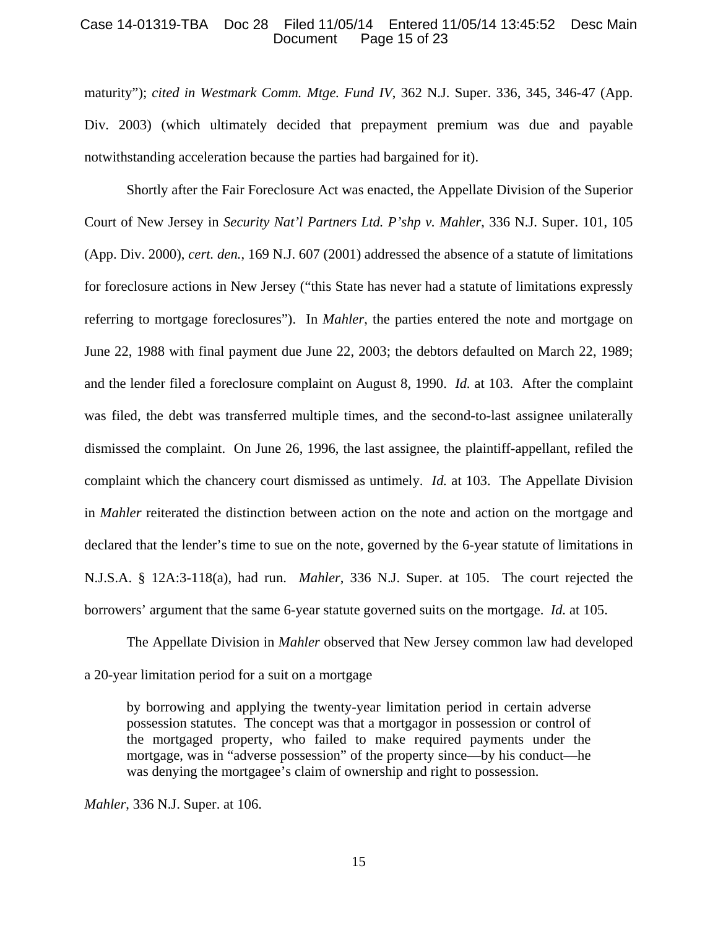#### Case 14-01319-TBA Doc 28 Filed 11/05/14 Entered 11/05/14 13:45:52 Desc Main Page 15 of 23

maturity"); *cited in Westmark Comm. Mtge. Fund IV*, 362 N.J. Super. 336, 345, 346-47 (App. Div. 2003) (which ultimately decided that prepayment premium was due and payable notwithstanding acceleration because the parties had bargained for it).

Shortly after the Fair Foreclosure Act was enacted, the Appellate Division of the Superior Court of New Jersey in *Security Nat'l Partners Ltd. P'shp v. Mahler*, 336 N.J. Super. 101, 105 (App. Div. 2000), *cert. den.*, 169 N.J. 607 (2001) addressed the absence of a statute of limitations for foreclosure actions in New Jersey ("this State has never had a statute of limitations expressly referring to mortgage foreclosures"). In *Mahler*, the parties entered the note and mortgage on June 22, 1988 with final payment due June 22, 2003; the debtors defaulted on March 22, 1989; and the lender filed a foreclosure complaint on August 8, 1990. *Id.* at 103. After the complaint was filed, the debt was transferred multiple times, and the second-to-last assignee unilaterally dismissed the complaint. On June 26, 1996, the last assignee, the plaintiff-appellant, refiled the complaint which the chancery court dismissed as untimely. *Id.* at 103. The Appellate Division in *Mahler* reiterated the distinction between action on the note and action on the mortgage and declared that the lender's time to sue on the note, governed by the 6-year statute of limitations in N.J.S.A. § 12A:3-118(a), had run. *Mahler*, 336 N.J. Super. at 105. The court rejected the borrowers' argument that the same 6-year statute governed suits on the mortgage. *Id.* at 105.

The Appellate Division in *Mahler* observed that New Jersey common law had developed a 20-year limitation period for a suit on a mortgage

by borrowing and applying the twenty-year limitation period in certain adverse possession statutes. The concept was that a mortgagor in possession or control of the mortgaged property, who failed to make required payments under the mortgage, was in "adverse possession" of the property since—by his conduct—he was denying the mortgagee's claim of ownership and right to possession.

*Mahler*, 336 N.J. Super. at 106.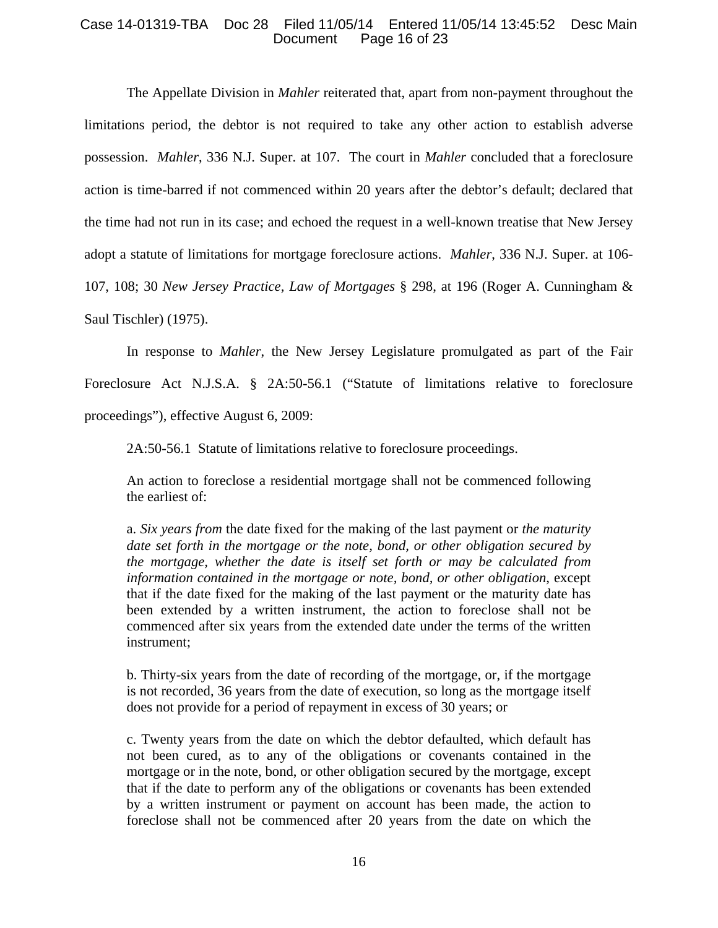## Case 14-01319-TBA Doc 28 Filed 11/05/14 Entered 11/05/14 13:45:52 Desc Main Page 16 of 23

The Appellate Division in *Mahler* reiterated that, apart from non-payment throughout the limitations period, the debtor is not required to take any other action to establish adverse possession. *Mahler*, 336 N.J. Super. at 107. The court in *Mahler* concluded that a foreclosure action is time-barred if not commenced within 20 years after the debtor's default; declared that the time had not run in its case; and echoed the request in a well-known treatise that New Jersey adopt a statute of limitations for mortgage foreclosure actions. *Mahler*, 336 N.J. Super. at 106- 107, 108; 30 *New Jersey Practice, Law of Mortgages* § 298, at 196 (Roger A. Cunningham & Saul Tischler) (1975).

In response to *Mahler*, the New Jersey Legislature promulgated as part of the Fair Foreclosure Act N.J.S.A. § 2A:50-56.1 ("Statute of limitations relative to foreclosure proceedings"), effective August 6, 2009:

2A:50-56.1 Statute of limitations relative to foreclosure proceedings.

An action to foreclose a residential mortgage shall not be commenced following the earliest of:

a. *Six years from* the date fixed for the making of the last payment or *the maturity date set forth in the mortgage or the note, bond, or other obligation secured by the mortgage, whether the date is itself set forth or may be calculated from information contained in the mortgage or note, bond, or other obligation*, except that if the date fixed for the making of the last payment or the maturity date has been extended by a written instrument, the action to foreclose shall not be commenced after six years from the extended date under the terms of the written instrument;

b. Thirty-six years from the date of recording of the mortgage, or, if the mortgage is not recorded, 36 years from the date of execution, so long as the mortgage itself does not provide for a period of repayment in excess of 30 years; or

c. Twenty years from the date on which the debtor defaulted, which default has not been cured, as to any of the obligations or covenants contained in the mortgage or in the note, bond, or other obligation secured by the mortgage, except that if the date to perform any of the obligations or covenants has been extended by a written instrument or payment on account has been made, the action to foreclose shall not be commenced after 20 years from the date on which the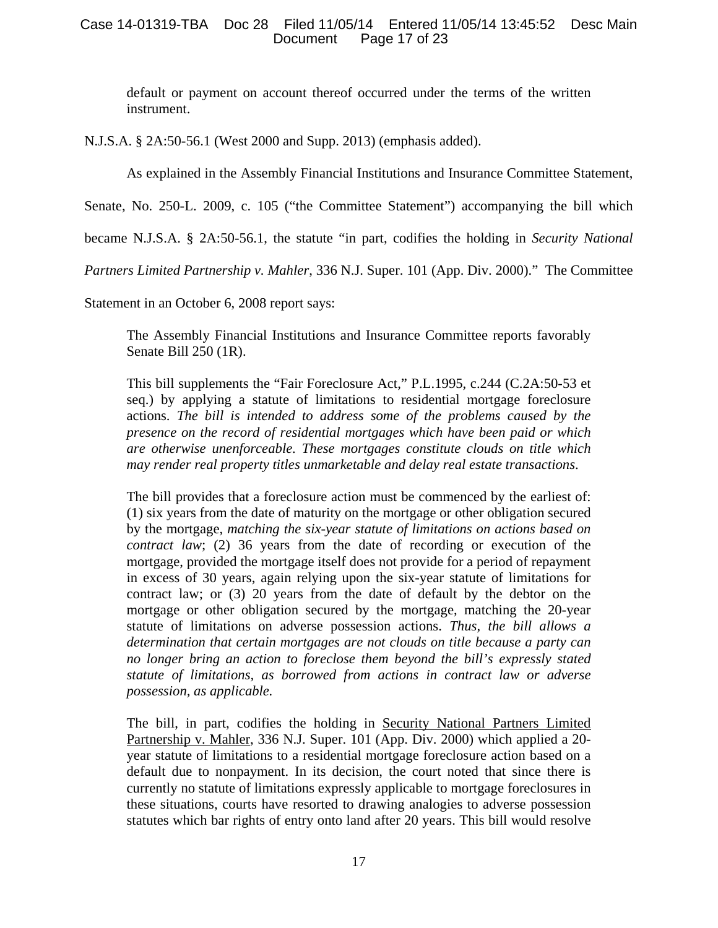## Case 14-01319-TBA Doc 28 Filed 11/05/14 Entered 11/05/14 13:45:52 Desc Main Page 17 of 23

default or payment on account thereof occurred under the terms of the written instrument.

N.J.S.A. § 2A:50-56.1 (West 2000 and Supp. 2013) (emphasis added).

As explained in the Assembly Financial Institutions and Insurance Committee Statement,

Senate, No. 250-L. 2009, c. 105 ("the Committee Statement") accompanying the bill which

became N.J.S.A. § 2A:50-56.1, the statute "in part, codifies the holding in *Security National* 

*Partners Limited Partnership v. Mahler*, 336 N.J. Super. 101 (App. Div. 2000)." The Committee

Statement in an October 6, 2008 report says:

The Assembly Financial Institutions and Insurance Committee reports favorably Senate Bill 250 (1R).

This bill supplements the "Fair Foreclosure Act," P.L.1995, c.244 (C.2A:50-53 et seq.) by applying a statute of limitations to residential mortgage foreclosure actions. *The bill is intended to address some of the problems caused by the presence on the record of residential mortgages which have been paid or which are otherwise unenforceable. These mortgages constitute clouds on title which may render real property titles unmarketable and delay real estate transactions*.

The bill provides that a foreclosure action must be commenced by the earliest of: (1) six years from the date of maturity on the mortgage or other obligation secured by the mortgage, *matching the six-year statute of limitations on actions based on contract law*; (2) 36 years from the date of recording or execution of the mortgage, provided the mortgage itself does not provide for a period of repayment in excess of 30 years, again relying upon the six-year statute of limitations for contract law; or (3) 20 years from the date of default by the debtor on the mortgage or other obligation secured by the mortgage, matching the 20-year statute of limitations on adverse possession actions. *Thus, the bill allows a determination that certain mortgages are not clouds on title because a party can no longer bring an action to foreclose them beyond the bill's expressly stated statute of limitations, as borrowed from actions in contract law or adverse possession, as applicable.* 

The bill, in part, codifies the holding in Security National Partners Limited Partnership v. Mahler, 336 N.J. Super. 101 (App. Div. 2000) which applied a 20 year statute of limitations to a residential mortgage foreclosure action based on a default due to nonpayment. In its decision, the court noted that since there is currently no statute of limitations expressly applicable to mortgage foreclosures in these situations, courts have resorted to drawing analogies to adverse possession statutes which bar rights of entry onto land after 20 years. This bill would resolve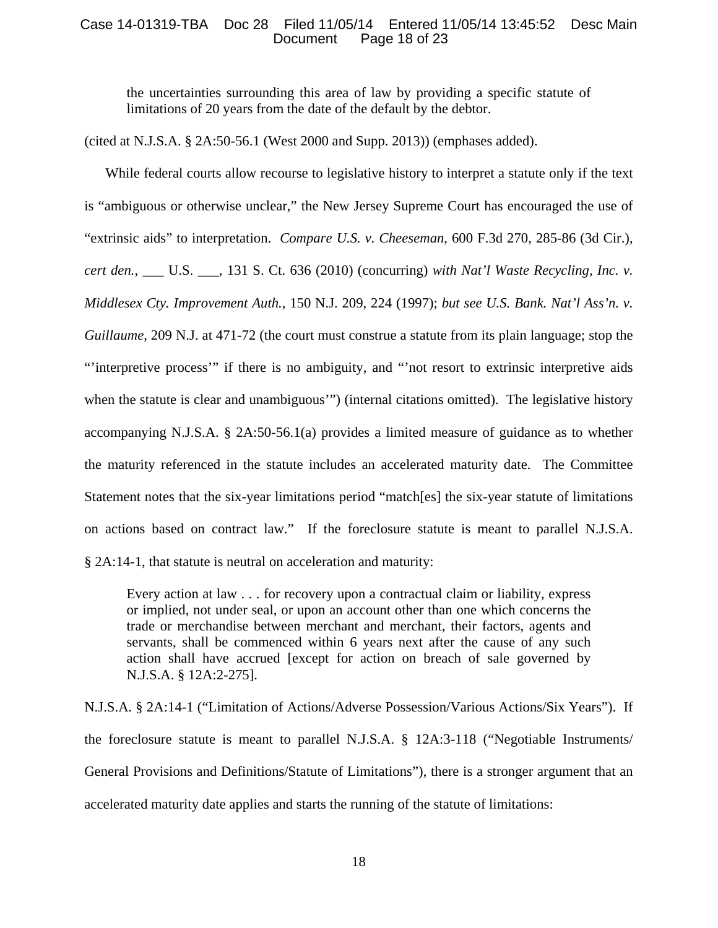## Case 14-01319-TBA Doc 28 Filed 11/05/14 Entered 11/05/14 13:45:52 Desc Main Page 18 of 23

the uncertainties surrounding this area of law by providing a specific statute of limitations of 20 years from the date of the default by the debtor.

(cited at N.J.S.A. § 2A:50-56.1 (West 2000 and Supp. 2013)) (emphases added).

While federal courts allow recourse to legislative history to interpret a statute only if the text is "ambiguous or otherwise unclear," the New Jersey Supreme Court has encouraged the use of "extrinsic aids" to interpretation. *Compare U.S. v. Cheeseman*, 600 F.3d 270, 285-86 (3d Cir.), *cert den.*, \_\_\_ U.S. \_\_\_, 131 S. Ct. 636 (2010) (concurring) *with Nat'l Waste Recycling, Inc. v. Middlesex Cty. Improvement Auth.*, 150 N.J. 209, 224 (1997); *but see U.S. Bank. Nat'l Ass'n. v. Guillaume*, 209 N.J. at 471-72 (the court must construe a statute from its plain language; stop the "'interpretive process'" if there is no ambiguity, and "'not resort to extrinsic interpretive aids when the statute is clear and unambiguous'") (internal citations omitted). The legislative history accompanying N.J.S.A. § 2A:50-56.1(a) provides a limited measure of guidance as to whether the maturity referenced in the statute includes an accelerated maturity date. The Committee Statement notes that the six-year limitations period "match[es] the six-year statute of limitations on actions based on contract law." If the foreclosure statute is meant to parallel N.J.S.A. § 2A:14-1, that statute is neutral on acceleration and maturity:

Every action at law . . . for recovery upon a contractual claim or liability, express or implied, not under seal, or upon an account other than one which concerns the trade or merchandise between merchant and merchant, their factors, agents and servants, shall be commenced within 6 years next after the cause of any such action shall have accrued [except for action on breach of sale governed by N.J.S.A. § 12A:2-275].

N.J.S.A. § 2A:14-1 ("Limitation of Actions/Adverse Possession/Various Actions/Six Years"). If the foreclosure statute is meant to parallel N.J.S.A. § 12A:3-118 ("Negotiable Instruments/ General Provisions and Definitions/Statute of Limitations"), there is a stronger argument that an accelerated maturity date applies and starts the running of the statute of limitations: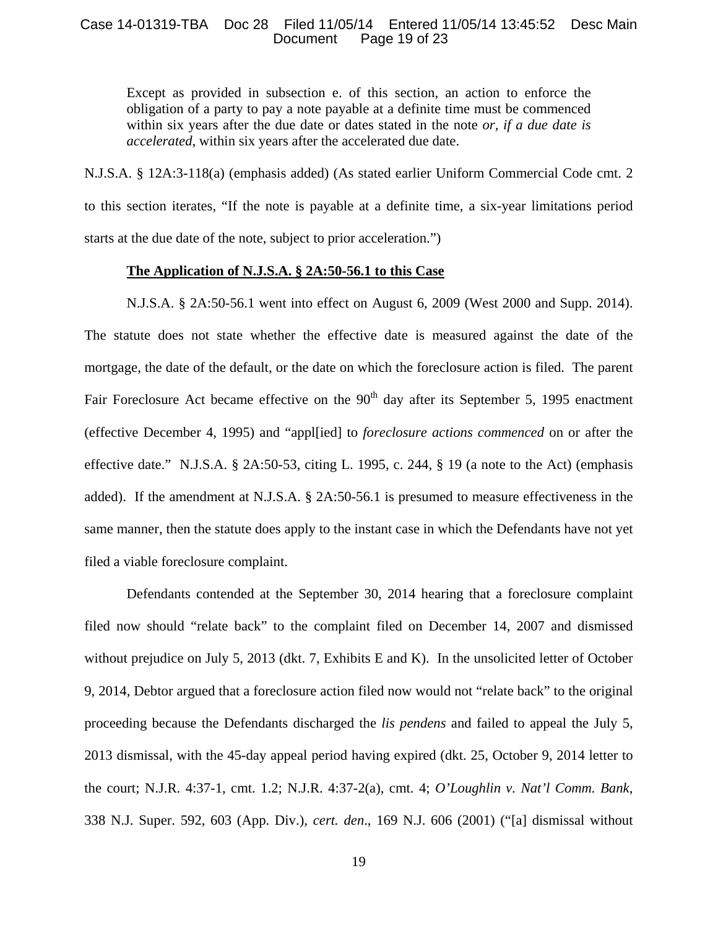#### Case 14-01319-TBA Doc 28 Filed 11/05/14 Entered 11/05/14 13:45:52 Desc Main Page 19 of 23

Except as provided in subsection e. of this section, an action to enforce the obligation of a party to pay a note payable at a definite time must be commenced within six years after the due date or dates stated in the note *or, if a due date is accelerated*, within six years after the accelerated due date.

N.J.S.A. § 12A:3-118(a) (emphasis added) (As stated earlier Uniform Commercial Code cmt. 2 to this section iterates, "If the note is payable at a definite time, a six-year limitations period starts at the due date of the note, subject to prior acceleration.")

## **The Application of N.J.S.A. § 2A:50-56.1 to this Case**

N.J.S.A. § 2A:50-56.1 went into effect on August 6, 2009 (West 2000 and Supp. 2014). The statute does not state whether the effective date is measured against the date of the mortgage, the date of the default, or the date on which the foreclosure action is filed. The parent Fair Foreclosure Act became effective on the  $90<sup>th</sup>$  day after its September 5, 1995 enactment (effective December 4, 1995) and "appl[ied] to *foreclosure actions commenced* on or after the effective date." N.J.S.A. § 2A:50-53, citing L. 1995, c. 244, § 19 (a note to the Act) (emphasis added). If the amendment at N.J.S.A. § 2A:50-56.1 is presumed to measure effectiveness in the same manner, then the statute does apply to the instant case in which the Defendants have not yet filed a viable foreclosure complaint.

Defendants contended at the September 30, 2014 hearing that a foreclosure complaint filed now should "relate back" to the complaint filed on December 14, 2007 and dismissed without prejudice on July 5, 2013 (dkt. 7, Exhibits E and K). In the unsolicited letter of October 9, 2014, Debtor argued that a foreclosure action filed now would not "relate back" to the original proceeding because the Defendants discharged the *lis pendens* and failed to appeal the July 5, 2013 dismissal, with the 45-day appeal period having expired (dkt. 25, October 9, 2014 letter to the court; N.J.R. 4:37-1, cmt. 1.2; N.J.R. 4:37-2(a), cmt. 4; *O'Loughlin v. Nat'l Comm. Bank*, 338 N.J. Super. 592, 603 (App. Div.), *cert. den*., 169 N.J. 606 (2001) ("[a] dismissal without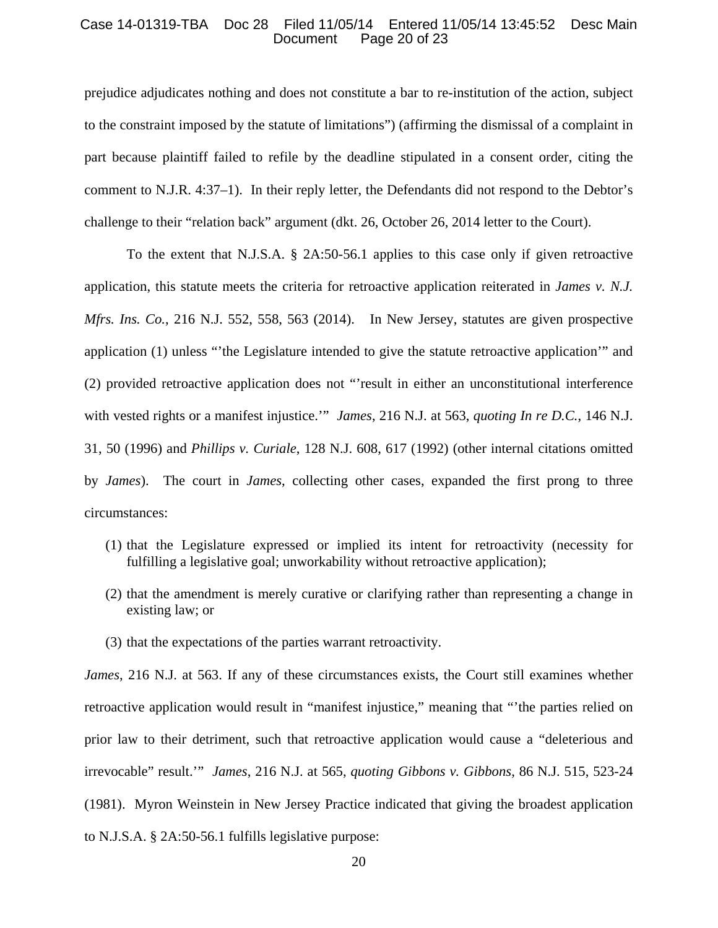#### Case 14-01319-TBA Doc 28 Filed 11/05/14 Entered 11/05/14 13:45:52 Desc Main Page 20 of 23

prejudice adjudicates nothing and does not constitute a bar to re-institution of the action, subject to the constraint imposed by the statute of limitations") (affirming the dismissal of a complaint in part because plaintiff failed to refile by the deadline stipulated in a consent order, citing the comment to N.J.R. 4:37–1). In their reply letter, the Defendants did not respond to the Debtor's challenge to their "relation back" argument (dkt. 26, October 26, 2014 letter to the Court).

To the extent that N.J.S.A. § 2A:50-56.1 applies to this case only if given retroactive application, this statute meets the criteria for retroactive application reiterated in *James v. N.J. Mfrs. Ins. Co.*, 216 N.J. 552, 558, 563 (2014). In New Jersey, statutes are given prospective application (1) unless "'the Legislature intended to give the statute retroactive application'" and (2) provided retroactive application does not "'result in either an unconstitutional interference with vested rights or a manifest injustice.'" *James*, 216 N.J. at 563, *quoting In re D.C.*, 146 N.J. 31, 50 (1996) and *Phillips v. Curiale*, 128 N.J. 608, 617 (1992) (other internal citations omitted by *James*). The court in *James*, collecting other cases, expanded the first prong to three circumstances:

- (1) that the Legislature expressed or implied its intent for retroactivity (necessity for fulfilling a legislative goal; unworkability without retroactive application);
- (2) that the amendment is merely curative or clarifying rather than representing a change in existing law; or
- (3) that the expectations of the parties warrant retroactivity.

*James*, 216 N.J. at 563. If any of these circumstances exists, the Court still examines whether retroactive application would result in "manifest injustice," meaning that "'the parties relied on prior law to their detriment, such that retroactive application would cause a "deleterious and irrevocable" result.'" *James*, 216 N.J. at 565, *quoting Gibbons v. Gibbons*, 86 N.J. 515, 523-24 (1981). Myron Weinstein in New Jersey Practice indicated that giving the broadest application to N.J.S.A. § 2A:50-56.1 fulfills legislative purpose: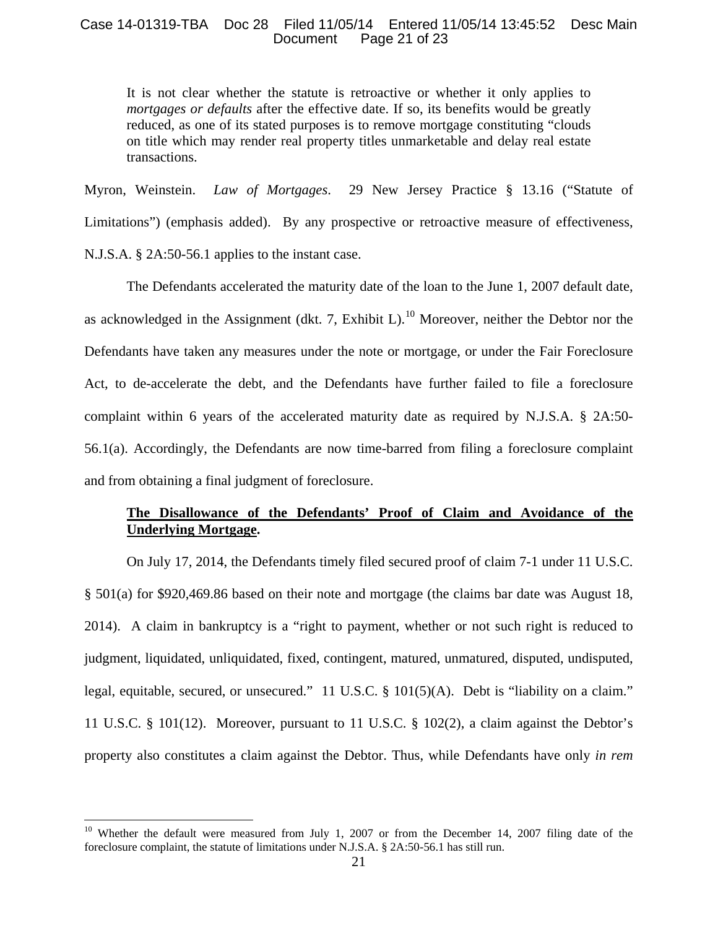## Case 14-01319-TBA Doc 28 Filed 11/05/14 Entered 11/05/14 13:45:52 Desc Main Page 21 of 23

It is not clear whether the statute is retroactive or whether it only applies to *mortgages or defaults* after the effective date. If so, its benefits would be greatly reduced, as one of its stated purposes is to remove mortgage constituting "clouds on title which may render real property titles unmarketable and delay real estate transactions.

Myron, Weinstein. *Law of Mortgages*. 29 New Jersey Practice § 13.16 ("Statute of Limitations") (emphasis added). By any prospective or retroactive measure of effectiveness, N.J.S.A. § 2A:50-56.1 applies to the instant case.

The Defendants accelerated the maturity date of the loan to the June 1, 2007 default date, as acknowledged in the Assignment (dkt. 7, Exhibit L).<sup>[10](#page-20-0)</sup> Moreover, neither the Debtor nor the Defendants have taken any measures under the note or mortgage, or under the Fair Foreclosure Act, to de-accelerate the debt, and the Defendants have further failed to file a foreclosure complaint within 6 years of the accelerated maturity date as required by N.J.S.A. § 2A:50- 56.1(a). Accordingly, the Defendants are now time-barred from filing a foreclosure complaint and from obtaining a final judgment of foreclosure.

# **The Disallowance of the Defendants' Proof of Claim and Avoidance of the Underlying Mortgage.**

On July 17, 2014, the Defendants timely filed secured proof of claim 7-1 under 11 U.S.C. § 501(a) for \$920,469.86 based on their note and mortgage (the claims bar date was August 18, 2014). A claim in bankruptcy is a "right to payment, whether or not such right is reduced to judgment, liquidated, unliquidated, fixed, contingent, matured, unmatured, disputed, undisputed, legal, equitable, secured, or unsecured." 11 U.S.C. § 101(5)(A). Debt is "liability on a claim." 11 U.S.C. § 101(12). Moreover, pursuant to 11 U.S.C. § 102(2), a claim against the Debtor's property also constitutes a claim against the Debtor. Thus, while Defendants have only *in rem*

<span id="page-20-0"></span><sup>&</sup>lt;sup>10</sup> Whether the default were measured from July 1, 2007 or from the December 14, 2007 filing date of the foreclosure complaint, the statute of limitations under N.J.S.A. § 2A:50-56.1 has still run.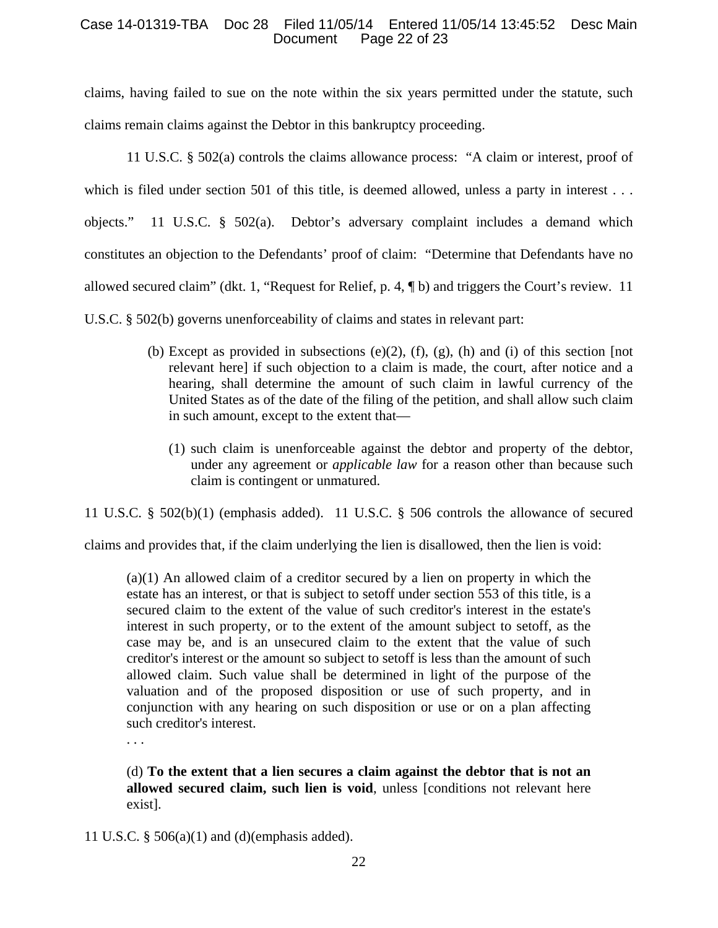## Case 14-01319-TBA Doc 28 Filed 11/05/14 Entered 11/05/14 13:45:52 Desc Main Page 22 of 23

claims, having failed to sue on the note within the six years permitted under the statute, such claims remain claims against the Debtor in this bankruptcy proceeding.

 11 U.S.C. § 502(a) controls the claims allowance process: "A claim or interest, proof of which is filed under section 501 of this title, is deemed allowed, unless a party in interest ... objects." 11 U.S.C. § 502(a). Debtor's adversary complaint includes a demand which constitutes an objection to the Defendants' proof of claim: "Determine that Defendants have no allowed secured claim" (dkt. 1, "Request for Relief, p. 4, ¶ b) and triggers the Court's review. 11 U.S.C. § 502(b) governs unenforceability of claims and states in relevant part:

- (b) Except as provided in subsections (e)(2), (f), (g), (h) and (i) of this section [not relevant here] if such objection to a claim is made, the court, after notice and a hearing, shall determine the amount of such claim in lawful currency of the United States as of the date of the filing of the petition, and shall allow such claim in such amount, except to the extent that—
	- (1) such claim is unenforceable against the debtor and property of the debtor, under any agreement or *applicable law* for a reason other than because such claim is contingent or unmatured.

11 U.S.C. § 502(b)(1) (emphasis added). 11 U.S.C. § 506 controls the allowance of secured

claims and provides that, if the claim underlying the lien is disallowed, then the lien is void:

(a)(1) An allowed claim of a creditor secured by a lien on property in which the estate has an interest, or that is subject to setoff under section 553 of this title, is a secured claim to the extent of the value of such creditor's interest in the estate's interest in such property, or to the extent of the amount subject to setoff, as the case may be, and is an unsecured claim to the extent that the value of such creditor's interest or the amount so subject to setoff is less than the amount of such allowed claim. Such value shall be determined in light of the purpose of the valuation and of the proposed disposition or use of such property, and in conjunction with any hearing on such disposition or use or on a plan affecting such creditor's interest.

. . .

(d) **To the extent that a lien secures a claim against the debtor that is not an allowed secured claim, such lien is void**, unless [conditions not relevant here exist].

11 U.S.C. § 506(a)(1) and (d)(emphasis added).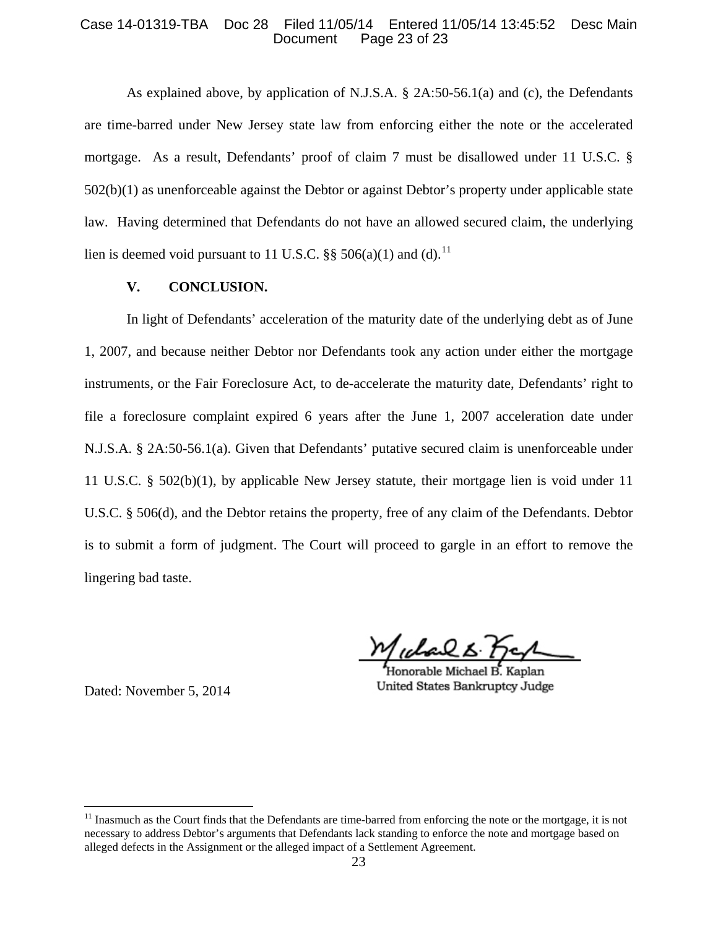## Case 14-01319-TBA Doc 28 Filed 11/05/14 Entered 11/05/14 13:45:52 Desc Main Page 23 of 23

As explained above, by application of N.J.S.A. § 2A:50-56.1(a) and (c), the Defendants are time-barred under New Jersey state law from enforcing either the note or the accelerated mortgage. As a result, Defendants' proof of claim 7 must be disallowed under 11 U.S.C. § 502(b)(1) as unenforceable against the Debtor or against Debtor's property under applicable state law. Having determined that Defendants do not have an allowed secured claim, the underlying lien is deemed void pursuant to [11](#page-22-0) U.S.C. §§ 506(a)(1) and (d).<sup>11</sup>

## **V. CONCLUSION.**

In light of Defendants' acceleration of the maturity date of the underlying debt as of June 1, 2007, and because neither Debtor nor Defendants took any action under either the mortgage instruments, or the Fair Foreclosure Act, to de-accelerate the maturity date, Defendants' right to file a foreclosure complaint expired 6 years after the June 1, 2007 acceleration date under N.J.S.A. § 2A:50-56.1(a). Given that Defendants' putative secured claim is unenforceable under 11 U.S.C. § 502(b)(1), by applicable New Jersey statute, their mortgage lien is void under 11 U.S.C. § 506(d), and the Debtor retains the property, free of any claim of the Defendants. Debtor is to submit a form of judgment. The Court will proceed to gargle in an effort to remove the lingering bad taste.

onorable Michael United States Bankruptcy Judge

Dated: November 5, 2014

<span id="page-22-0"></span> $11$  Inasmuch as the Court finds that the Defendants are time-barred from enforcing the note or the mortgage, it is not necessary to address Debtor's arguments that Defendants lack standing to enforce the note and mortgage based on alleged defects in the Assignment or the alleged impact of a Settlement Agreement.